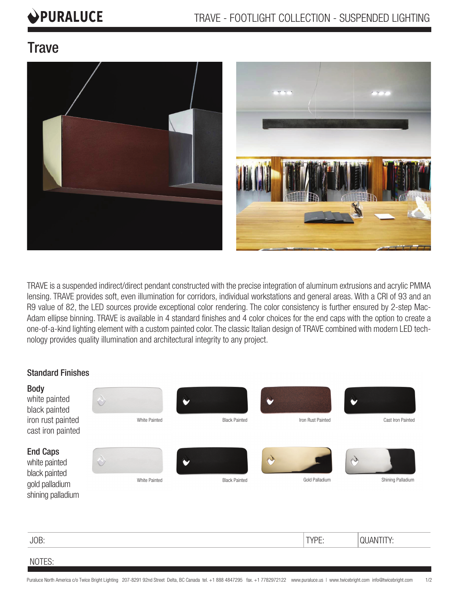# PURALUCE

### **Trave**





TRAVE is a suspended indirect/direct pendant constructed with the precise integration of aluminum extrusions and acrylic PMMA lensing. TRAVE provides soft, even illumination for corridors, individual workstations and general areas. With a CRI of 93 and an R9 value of 82, the LED sources provide exceptional color rendering. The color consistency is further ensured by 2-step Mac-Adam ellipse binning. TRAVE is available in 4 standard finishes and 4 color choices for the end caps with the option to create a one-of-a-kind lighting element with a custom painted color. The classic Italian design of TRAVE combined with modern LED technology provides quality illumination and architectural integrity to any project.

#### Standard Finishes

| <b>Body</b><br>white painted<br>black painted<br>iron rust painted<br>cast iron painted  | $\Diamond$<br>White Painted | <b>Black Painted</b> | Iron Rust Painted   | Cast Iron Painted               |
|------------------------------------------------------------------------------------------|-----------------------------|----------------------|---------------------|---------------------------------|
| <b>End Caps</b><br>white painted<br>black painted<br>gold palladium<br>shining palladium | $\Diamond$<br>White Painted | <b>Black Painted</b> | A<br>Gold Palladium | D<br>Shining Palladium          |
| $I\cap R$                                                                                |                             |                      | TVDE.               | <b><i><u>ΔΙΙΛΝΙΤΙΤΥ</u></i></b> |

JOB: NOTES: TYPE: QUANTITY: